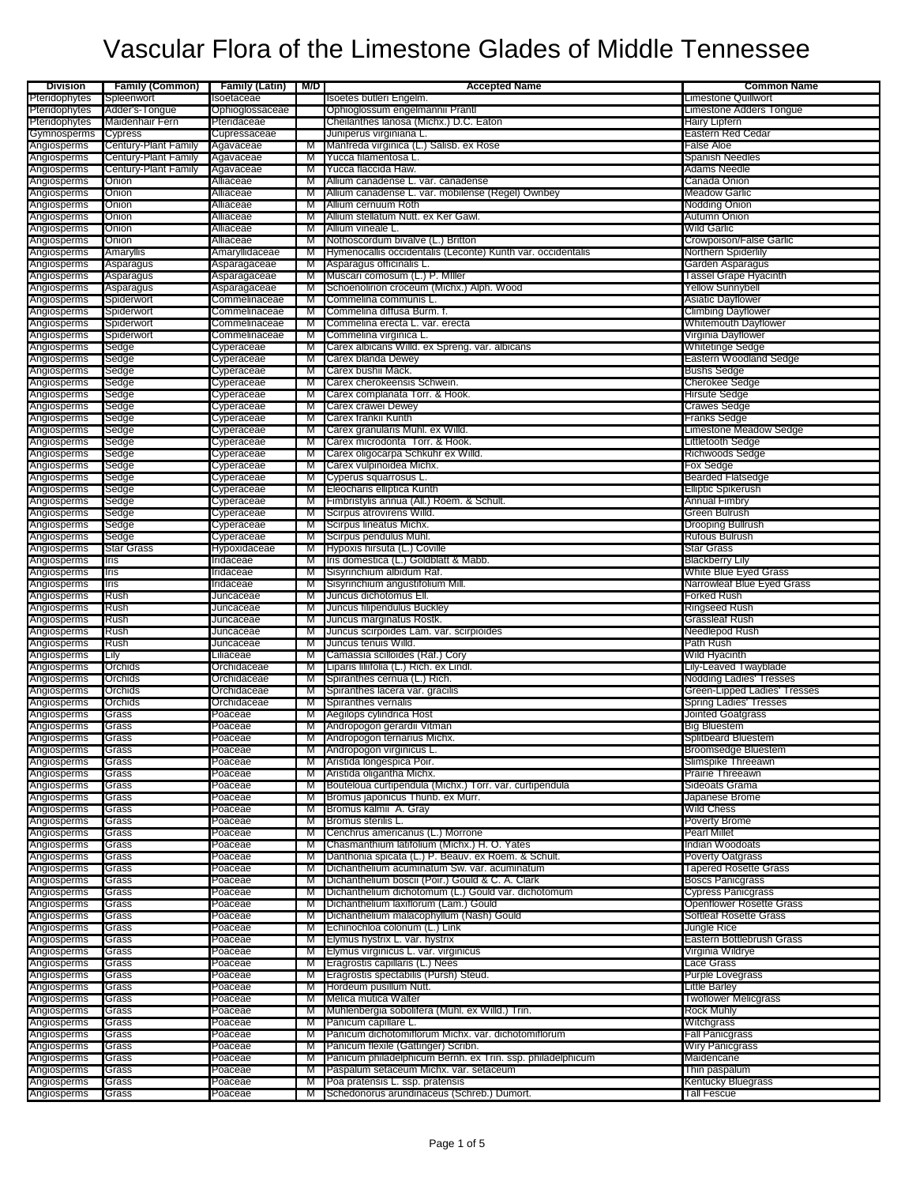| <b>Division</b>            | <b>Family (Common)</b> | <b>Family (Latin)</b>      | M/D    | <b>Accepted Name</b>                                        | <b>Common Name</b>                         |
|----------------------------|------------------------|----------------------------|--------|-------------------------------------------------------------|--------------------------------------------|
| Pteridophytes              | Spleenwort             | Isoetaceae                 |        | Isoetes butleri Engelm.                                     | Limestone Quillwort                        |
| Pteridophytes              | Adder's-Tongue         | Ophioglossaceae            |        | Ophioglossum engelmannii Prantl                             | Limestone Adders Tongue                    |
| Pteridophytes              | <b>Maidenhair Fern</b> | Pteridaceae                |        | Cheilanthes lanosa (Michx.) D.C. Eaton                      | Hairy Lipfern                              |
| Gymnosperms                | Cypress                | Cupressaceae               |        | Juniperus virginiana L.                                     | Eastern Red Cedar                          |
| Angiosperms                | Century-Plant Family   | Agavaceae                  | M      | Manfreda virginica (L.) Salisb. ex Rose                     | False Aloe                                 |
| Angiosperms                | Century-Plant Family   | Agavaceae                  | м      | Yucca filamentosa L.                                        | <b>Spanish Needles</b>                     |
| Angiosperms                | Century-Plant Family   | Agavaceae                  | M      | Yucca flaccida Haw.                                         | Adams Needle                               |
| Angiosperms                | Onion                  | Alliaceae                  | м      | Allium canadense L. var. canadense                          | Canada Onion                               |
| Angiosperms                | Onion                  | Alliaceae                  | M      | Allium canadense L. var. mobilense (Regel) Ownbey           | Meadow Garlic                              |
| Angiosperms                | Onion                  | Alliaceae                  | M      | Allium cernuum Roth                                         | Nodding Onion                              |
| Angiosperms<br>Angiosperms | Onion<br>Onion         | Alliaceae<br>Alliaceae     | M<br>M | Allium stellatum Nutt. ex Ker Gawl.<br>Allium vineale L.    | Autumn Onion<br>Wild Garlic                |
| Angiosperms                | Onion                  | Alliaceae                  | M      | Nothoscordum bivalve (L.) Britton                           | <b>Crowpoison/False Garlic</b>             |
| Angiosperms                | Amaryllis              | Amaryllidaceae             | M      | Hymenocallis occidentalis (Leconte) Kunth var. occidentalis | Northern Spiderlily                        |
| Angiosperms                | Asparagus              | Asparagaceae               | M      | Asparagus officinalis L.                                    | Garden Asparagus                           |
| Angiosperms                | Asparagus              | Asparagaceae               | м      | Muscari comosum (L.) P. Miller                              | Tassel Grape Hyacinth                      |
| Angiosperms                | Asparagus              | Asparagaceae               | M      | Schoenolirion croceum (Michx.) Alph. Wood                   | <b>Yellow Sunnybell</b>                    |
| Angiosperms                | Spiderwort             | Commelinaceae              | M      | Commelina communis L.                                       | Asiatic Dayflower                          |
| Angiosperms                | Spiderwort             | Commelinaceae              | M      | Commelina diffusa Burm. f.                                  | <b>Climbing Dayflower</b>                  |
| Angiosperms                | Spiderwort             | Commelinaceae              | м      | Commelina erecta L. var. erecta                             | Whitemouth Dayflower                       |
| Angiosperms                | Spiderwort             | Commelinaceae              | M      | Commelina virginica L.                                      | Virginia Dayflower                         |
| Angiosperms                | Sedge                  | Cyperaceae                 | M      | Carex albicans Willd. ex Spreng. var. albicans              | Whitetinge Sedge                           |
| Angiosperms                | Sedge                  | Cyperaceae                 | M      | Carex blanda Dewey                                          | Eastern Woodland Sedge                     |
| Angiosperms                | Sedge                  | Cyperaceae                 | M      | Carex bushii Mack.                                          | <b>Bushs Sedge</b>                         |
| Angiosperms                | Sedge                  | Cyperaceae                 | M      | Carex cherokeensis Schwein.                                 | Cherokee Sedge                             |
| Angiosperms                | Sedge                  | Cyperaceae                 | M      | Carex complanata Torr. & Hook.                              | Hirsute Sedge                              |
| Angiosperms                | Sedge                  | Cyperaceae                 | M      | Carex crawei Dewey                                          | Crawes Sedge                               |
| Angiosperms                | Sedge                  | Cyperaceae                 | M      | Carex frankii Kunth                                         | Franks Sedge                               |
| Angiosperms                | Sedge                  | Cyperaceae                 | M      | Carex granularis Muhl. ex Willd.                            | Limestone Meadow Sedge                     |
| Angiosperms                | Sedge                  | Cyperaceae                 | M      | Carex microdonta Torr. & Hook.                              | Littletooth Sedge                          |
| Angiosperms                | Sedge                  | Cyperaceae                 | м      | Carex oligocarpa Schkuhr ex Willd.                          | Richwoods Sedge                            |
| Angiosperms                | Sedge                  | Cyperaceae                 | M      | Carex vulpinoidea Michx.                                    | Fox Sedge                                  |
| Angiosperms                | Sedge                  | Cyperaceae                 | M      | Cyperus squarrosus L.                                       | <b>Bearded Flatsedge</b>                   |
| Angiosperms                | Sedge                  | Cyperaceae                 | м      | Eleocharis elliptica Kunth                                  | <b>Elliptic Spikerush</b>                  |
| Angiosperms                | Sedge                  | Cyperaceae                 | M      | Fimbristylis annua (All.) Roem. & Schult.                   | <b>Annual Fimbry</b>                       |
| Angiosperms                | Sedge                  | Cyperaceae                 | M<br>M | Scirpus atrovirens Willd.<br>Scirpus lineatus Michx.        | Green Bulrush                              |
| Angiosperms                | Sedge                  | Cyperaceae                 | м      | Scirpus pendulus Muhl.                                      | <b>Drooping Bullrush</b><br>Rufous Bulrush |
| Angiosperms<br>Angiosperms | Sedge<br>Star Grass    | Cyperaceae<br>Hypoxidaceae | M      | Hypoxis hirsuta (L.) Coville                                | <b>Star Grass</b>                          |
| Angiosperms                | Iris                   | Iridaceae                  | M      | Iris domestica (L.) Goldblatt & Mabb.                       | <b>Blackberry Lily</b>                     |
| Angiosperms                | Iris                   | Iridaceae                  | M      | Sisyrinchium albidum Raf.                                   | White Blue Eyed Grass                      |
| Angiosperms                | Iris                   | Iridaceae                  | M      | Sisyrinchium angustifolium Mill.                            | Narrowleaf Blue Eyed Grass                 |
| Angiosperms                | Rush                   | Juncaceae                  | M      | Juncus dichotomus Ell.                                      | Forked Rush                                |
| Angiosperms                | Rush                   | Juncaceae                  | M      | Juncus filipendulus Buckley                                 | Ringseed Rush                              |
| Angiosperms                | Rush                   | Juncaceae                  | M      | Juncus marginatus Rostk.                                    | Grassleaf Rush                             |
| Angiosperms                | Rush                   | Juncaceae                  | M      | Juncus scirpoides Lam. var. scirpioides                     | Needlepod Rush                             |
| Angiosperms                | Rush                   | Juncaceae                  | м      | Juncus tenuis Willd.                                        | Path Rush                                  |
| Angiosperms                | Lily                   | Liliaceae                  | M      | Camassia scilloides (Raf.) Cory                             | Wild Hyacinth                              |
| Angiosperms                | Orchids                | Orchidaceae                | M      | Liparis liliifolia (L.) Rich. ex Lindl.                     | Lily-Leaved Twayblade                      |
| Angiosperms                | Orchids                | Orchidaceae                | M      | Spiranthes cernua (L.) Rich.                                | Nodding Ladies' Tresses                    |
| Angiosperms                | Orchids                | Orchidaceae                | M      | Spiranthes lacera var. gracilis                             | Green-Lipped Ladies' Tresses               |
| Angiosperms                | Orchids                | Orchidaceae                | M      | Spiranthes vernalis                                         | <b>Spring Ladies' Tresses</b>              |
| Angiosperms                | Grass                  | Poaceae                    | M      | Aegilops cylindrica Host                                    | Jointed Goatgrass                          |
| Angiosperms                | Grass                  | Poaceae                    | M      | Andropogon gerardii Vitman                                  | <b>Big Bluestem</b>                        |
| Angiosperms                | Grass                  | Poaceae                    | M      | Andropogon ternarius Michx.                                 | Splitbeard Bluestem                        |
| Angiosperms                | rassس                  | Poaceae                    |        | Andropogon virginicus L.                                    | Broomsedge Bluestem                        |
| Angiosperms                | Grass                  | Poaceae                    | M      | Aristida longespica Poir.                                   | Slimspike Threeawn                         |
| Angiosperms                | Grass                  | Poaceae                    | M      | Aristida oligantha Michx.                                   | Prairie Threeawn                           |
| Angiosperms                | Grass                  | Poaceae                    | м      | Bouteloua curtipendula (Michx.) Torr. var. curtipendula     | Sideoats Grama                             |
| Angiosperms<br>Angiosperms | Grass<br>Grass         | Poaceae<br>Poaceae         | M<br>M | Bromus japonicus Thunb. ex Murr.<br>Bromus kalmii A. Gray   | Japanese Brome<br>Wild Chess               |
| Angiosperms                | Grass                  | Poaceae                    | M      | Bromus sterilis L.                                          | Poverty Brome                              |
| Angiosperms                | Grass                  | Poaceae                    | M      | Cenchrus americanus (L.) Morrone                            | <b>Pearl Millet</b>                        |
| Angiosperms                | Grass                  | Poaceae                    | м      | Chasmanthium latifolium (Michx.) H. O. Yates                | Indian Woodoats                            |
| Angiosperms                | Grass                  | Poaceae                    | M      | Danthonia spicata (L.) P. Beauv. ex Roem. & Schult.         | <b>Poverty Oatgrass</b>                    |
| Angiosperms                | Grass                  | Poaceae                    | M      | Dichanthelium acuminatum Sw. var. acuminatum                | <b>Tapered Rosette Grass</b>               |
| Angiosperms                | Grass                  | Poaceae                    | M      | Dichanthelium boscii (Poir.) Gould & C. A. Clark            | <b>Boscs Panicgrass</b>                    |
| Angiosperms                | Grass                  | Poaceae                    | M      | Dichanthelium dichotomum (L.) Gould var. dichotomum         | <b>Cypress Panicgrass</b>                  |
| Angiosperms                | Grass                  | Poaceae                    | M      | Dichanthelium laxiflorum (Lam.) Gould                       | <b>Openflower Rosette Grass</b>            |
| Angiosperms                | Grass                  | Poaceae                    | м      | Dichanthelium malacophyllum (Nash) Gould                    | Softleaf Rosette Grass                     |
| Angiosperms                | Grass                  | Poaceae                    | M      | Echinochloa colonum (L.) Link                               | Jungle Rice                                |
| Angiosperms                | Grass                  | Poaceae                    | м      | Elymus hystrix L. var. hystrix                              | Eastern Bottlebrush Grass                  |
| Angiosperms                | Grass                  | Poaceae                    | M      | Elymus virginicus L. var. virginicus                        | Virginia Wildrye                           |
| Angiosperms                | Grass                  | Poaceae                    | M      | Eragrostis capillaris (L.) Nees                             | Lace Grass                                 |
| Angiosperms                | Grass                  | Poaceae                    | M      | Eragrostis spectabilis (Pursh) Steud.                       | Purple Lovegrass                           |
| Angiosperms                | Grass                  | Poaceae                    | M      | Hordeum pusillum Nutt.                                      | Little Barley                              |
| Angiosperms                | Grass                  | Poaceae                    | M      | Melica mutica Walter                                        | <b>Twoflower Melicgrass</b>                |
| Angiosperms                | Grass                  | Poaceae                    | M      | Muhlenbergia sobolifera (Muhl. ex Willd.) Trin.             | <b>Rock Muhly</b>                          |
| Angiosperms                | Grass                  | Poaceae                    | M      | Panicum capillare L.                                        | Witchgrass                                 |
| Angiosperms                | Grass                  | Poaceae                    | м      | Panicum dichotomiflorum Michx. var. dichotomiflorum         | <b>Fall Panicgrass</b>                     |
| Angiosperms                | Grass                  | Poaceae                    | м      | Panicum flexile (Gattinger) Scribn.                         | Wiry Panicgrass                            |
| Angiosperms                | Grass                  | Poaceae                    | M      | Panicum philadelphicum Bernh. ex Trin. ssp. philadelphicum  | Maidencane                                 |
| Angiosperms                | Grass                  | Poaceae                    | M      | Paspalum setaceum Michx. var. setaceum                      | Thin paspalum                              |
| Angiosperms                | Grass                  | Poaceae                    | м      | Poa pratensis L. ssp. pratensis                             | <b>Kentucky Bluegrass</b>                  |
| Angiosperms                | Grass                  | Poaceae                    | M      | Schedonorus arundinaceus (Schreb.) Dumort.                  | <b>Tall Fescue</b>                         |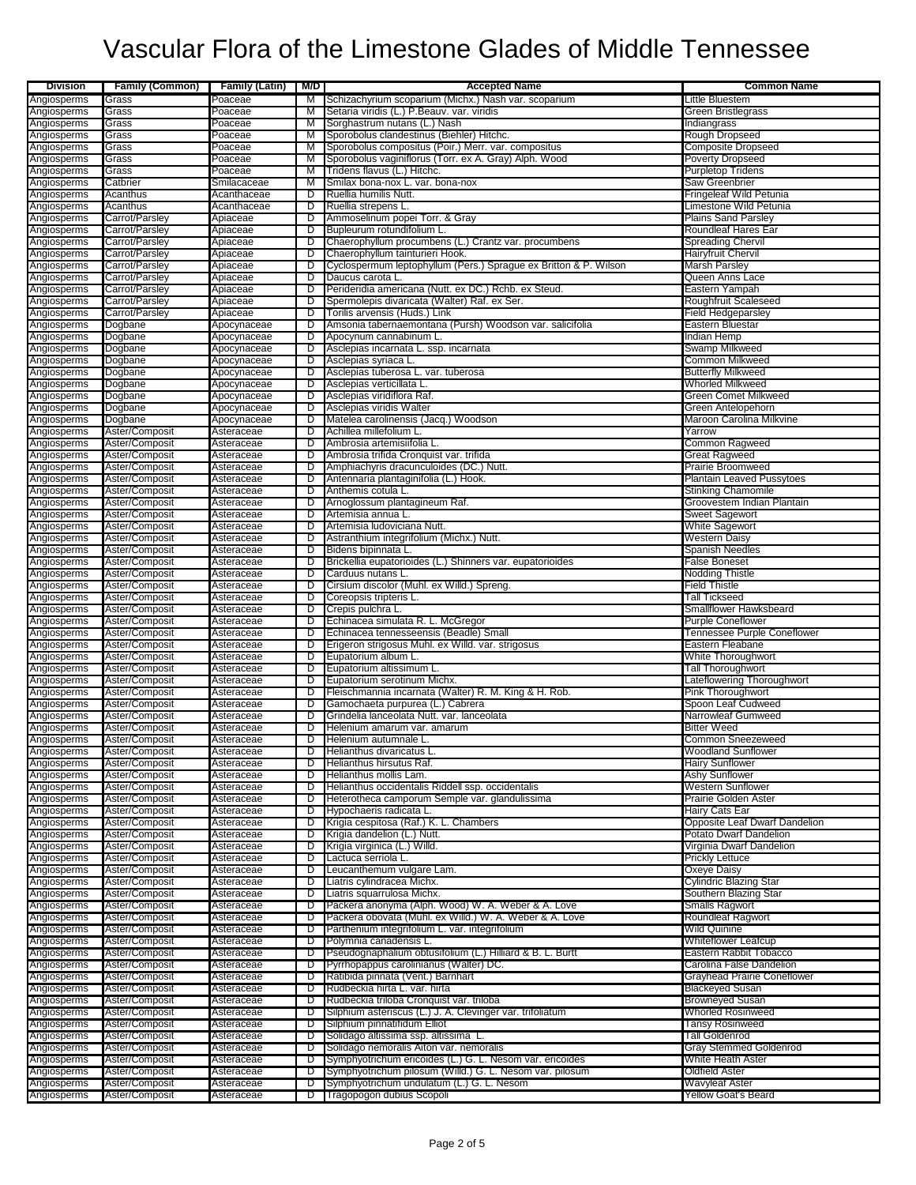| <b>Division</b>            | <b>Family (Common)</b>           | <b>Family (Latin)</b>      | M/D    | <b>Accepted Name</b>                                                                                | <b>Common Name</b>                                            |
|----------------------------|----------------------------------|----------------------------|--------|-----------------------------------------------------------------------------------------------------|---------------------------------------------------------------|
| Angiosperms                | Grass                            | Poaceae                    | M      | Schizachyrium scoparium (Michx.) Nash var. scoparium                                                | Little Bluestem                                               |
| Angiosperms                | Grass                            | Poaceae                    | м      | Setaria viridis (L.) P.Beauv. var. viridis                                                          | Green Bristlegrass                                            |
| Angiosperms                | Grass                            | Poaceae                    | M      | Sorghastrum nutans (L.) Nash                                                                        | Indiangrass                                                   |
| Angiosperms                | Grass<br>Grass                   | Poaceae<br>Poaceae         | M      | Sporobolus clandestinus (Biehler) Hitchc.<br>Sporobolus compositus (Poir.) Merr. var. compositus    | Rough Dropseed<br><b>Composite Dropseed</b>                   |
| Angiosperms<br>Angiosperms | Grass                            | Poaceae                    | M<br>M | Sporobolus vaginiflorus (Torr. ex A. Gray) Alph. Wood                                               | Poverty Dropseed                                              |
| Angiosperms                | Grass                            | Poaceae                    | M      | Tridens flavus (L.) Hitchc.                                                                         | <b>Purpletop Tridens</b>                                      |
| Angiosperms                | Catbrier                         | Smilacaceae                | M      | Smilax bona-nox L. var. bona-nox                                                                    | <b>Saw Greenbrier</b>                                         |
| Angiosperms                | Acanthus                         | Acanthaceae                | D      | Ruellia humilis Nutt.                                                                               | Fringeleaf Wild Petunia                                       |
| Angiosperms                | Acanthus                         | Acanthaceae                | D      | Ruellia strepens L                                                                                  | Limestone Wild Petunia                                        |
| Angiosperms                | Carrot/Parsley<br>Carrot/Parsley | Apiaceae<br>Apiaceae       | D<br>D | Ammoselinum popei Torr. & Gray<br>Bupleurum rotundifolium L.                                        | <b>Plains Sand Parsley</b><br>Roundleaf Hares Ear             |
| Angiosperms<br>Angiosperms | Carrot/Parsley                   | Apiaceae                   | D      | Chaerophyllum procumbens (L.) Crantz var. procumbens                                                | Spreading Chervi                                              |
| Angiosperms                | Carrot/Parsley                   | Apiaceae                   | ס      | Chaerophyllum tainturieri Hook.                                                                     | <b>Hairyfruit Chervil</b>                                     |
| Angiosperms                | Carrot/Parsley                   | Apiaceae                   | D      | Cyclospermum leptophyllum (Pers.) Sprague ex Britton & P. Wilson                                    | <b>Marsh Parsley</b>                                          |
| Angiosperms                | Carrot/Parsley                   | Apiaceae                   | D      | Daucus carota L.                                                                                    | Queen Anns Lace                                               |
| Angiosperms                | Carrot/Parsley                   | Apiaceae                   | D      | Perideridia americana (Nutt. ex DC.) Rchb. ex Steud.                                                | Eastern Yampah                                                |
| Angiosperms<br>Angiosperms | Carrot/Parsley<br>Carrot/Parsley | Apiaceae<br>Apiaceae       | D<br>D | Spermolepis divaricata (Walter) Raf. ex Ser.<br>Torilis arvensis (Huds.) Link                       | <b>Roughfruit Scaleseed</b><br>Field Hedgeparsley             |
| Angiosperms                | Dogbane                          | Apocynaceae                | D      | Amsonia tabernaemontana (Pursh) Woodson var. salicifolia                                            | Eastern Bluestar                                              |
| Angiosperms                | Dogbane                          | Apocynaceae                | D      | Apocynum cannabinum L.                                                                              | Indian Hemp                                                   |
| Angiosperms                | Dogbane                          | Apocynaceae                | D      | Asclepias incarnata L. ssp. incarnata                                                               | Swamp Milkweed                                                |
| Angiosperms                | Dogbane                          | Apocynaceae                | ס      | Asclepias syriaca L.                                                                                | <b>Common Milkweed</b>                                        |
| Angiosperms                | Dogbane                          | Apocynaceae                | D      | Asclepias tuberosa L. var. tuberosa                                                                 | <b>Butterfly Milkweed</b>                                     |
| Angiosperms<br>Angiosperms | Dogbane                          | Apocynaceae<br>Apocynaceae | D<br>D | Asclepias verticillata L.<br>Asclepias viridiflora Raf.                                             | <b>Whorled Milkweed</b><br>Green Comet Milkweed               |
| Angiosperms                | Dogbane<br>Dogbane               | Apocynaceae                | D      | Asclepias viridis Walter                                                                            | Green Antelopehorn                                            |
| Angiosperms                | Dogbane                          | Apocynaceae                | D      | Matelea carolinensis (Jacq.) Woodson                                                                | Maroon Carolina Milkvine                                      |
| Angiosperms                | Aster/Composit                   | Asteraceae                 | D      | Achillea millefolium L.                                                                             | Yarrow                                                        |
| Angiosperms                | Aster/Composit                   | Asteraceae                 | D      | Ambrosia artemisiifolia L.                                                                          | <b>Common Ragweed</b>                                         |
| Angiosperms                | Aster/Composit                   | Asteraceae                 | D      | Ambrosia trifida Cronquist var. trifida                                                             | <b>Great Ragweed</b>                                          |
| Angiosperms                | Aster/Composit                   | Asteraceae                 | D      | Amphiachyris dracunculoides (DC.) Nutt.                                                             | <b>Prairie Broomweed</b>                                      |
| Angiosperms<br>Angiosperms | Aster/Composit<br>Aster/Composit | Asteraceae<br>Asteraceae   | D<br>D | Antennaria plantaginifolia (L.) Hook.<br>Anthemis cotula L.                                         | <b>Plantain Leaved Pussytoes</b><br><b>Stinking Chamomile</b> |
| Angiosperms                | Aster/Composit                   | Asteraceae                 | D      | Arnoglossum plantagineum Raf.                                                                       | Groovestem Indian Plantain                                    |
| Angiosperms                | Aster/Composit                   | Asteraceae                 | D      | Artemisia annua L.                                                                                  | Sweet Sagewort                                                |
| Angiosperms                | Aster/Composit                   | Asteraceae                 | D      | Artemisia ludoviciana Nutt.                                                                         | White Sagewort                                                |
| Angiosperms                | Aster/Composit                   | Asteraceae                 | D      | Astranthium integrifolium (Michx.) Nutt.                                                            | Western Daisy                                                 |
| Angiosperms                | Aster/Composit                   | Asteraceae                 | D      | Bidens bipinnata L.                                                                                 | <b>Spanish Needles</b>                                        |
| Angiosperms                | Aster/Composit<br>Aster/Composit | Asteraceae<br>Asteraceae   | D<br>D | Brickellia eupatorioides (L.) Shinners var. eupatorioides<br>Carduus nutans L.                      | False Boneset<br>Nodding Thistle                              |
| Angiosperms<br>Angiosperms | Aster/Composit                   | Asteraceae                 | D      | Cirsium discolor (Muhl. ex Willd.) Spreng.                                                          | <b>Field Thistle</b>                                          |
| Angiosperms                | Aster/Composit                   | Asteraceae                 | D      | Coreopsis tripteris L                                                                               | <b>Tall Tickseed</b>                                          |
| Angiosperms                | Aster/Composit                   | Asteraceae                 | D      | Crepis pulchra L.                                                                                   | Smallflower Hawksbeard                                        |
| Angiosperms                | Aster/Composit                   | Asteraceae                 | D      | Echinacea simulata R. L. McGregor                                                                   | <b>Purple Coneflower</b>                                      |
| Angiosperms                | Aster/Composit                   | Asteraceae                 | D      | Echinacea tennesseensis (Beadle) Small                                                              | Tennessee Purple Coneflower                                   |
| Angiosperms<br>Angiosperms | Aster/Composit<br>Aster/Composit | Asteraceae<br>Asteraceae   | D<br>D | Erigeron strigosus Muhl. ex Willd. var. strigosus<br>Eupatorium album L.                            | Eastern Fleabane<br>White Thoroughwort                        |
| Angiosperms                | Aster/Composit                   | Asteraceae                 | D      | Eupatorium altissimum L.                                                                            | Tall Thoroughwort                                             |
| Angiosperms                | Aster/Composit                   | Asteraceae                 | D      | Eupatorium serotinum Michx.                                                                         | Lateflowering Thoroughwort                                    |
| Angiosperms                | Aster/Composit                   | Asteraceae                 | D      | Fleischmannia incarnata (Walter) R. M. King & H. Rob.                                               | Pink Thoroughwort                                             |
| Angiosperms                | Aster/Composit                   | Asteraceae                 | D      | Gamochaeta purpurea (L.) Cabrera                                                                    | Spoon Leaf Cudweed                                            |
| Angiosperms                | Aster/Composit                   | Asteraceae                 | D      | Grindelia lanceolata Nutt. var. lanceolata                                                          | Narrowleaf Gumweed                                            |
| Angiosperms<br>Angiosperms | Aster/Composit<br>Aster/Composit | Asteraceae<br>Asteraceae   | D<br>D | Helenium amarum var. amarum<br>Helenium autumnale L.                                                | <b>Bitter Weed</b><br>Common Sneezeweed                       |
| Angiosperms                | ASter/Composit                   | Asteraceae                 |        | <b>Hellantnus divancatus L</b>                                                                      | vvoodiand Sunnower                                            |
| Angiosperms                | Aster/Composit                   | Asteraceae                 | D      | Helianthus hirsutus Raf.                                                                            | <b>Hairy Sunflower</b>                                        |
| Angiosperms                | Aster/Composit                   | Asteraceae                 | D      | Helianthus mollis Lam.                                                                              | <b>Ashy Sunflower</b>                                         |
| Angiosperms                | Aster/Composit                   | Asteraceae                 | D      | Helianthus occidentalis Riddell ssp. occidentalis                                                   | <b>Western Sunflower</b>                                      |
| Angiosperms<br>Angiosperms | Aster/Composit<br>Aster/Composit | Asteraceae<br>Asteraceae   | D<br>D | Heterotheca camporum Semple var. glandulissima<br>Hypochaeris radicata L.                           | Prairie Golden Aster<br>Hairy Cats Ear                        |
| Angiosperms                | Aster/Composit                   | Asteraceae                 | D      | Krigia cespitosa (Raf.) K. L. Chambers                                                              | Opposite Leaf Dwarf Dandelion                                 |
| Angiosperms                | Aster/Composit                   | Asteraceae                 | D      | Krigia dandelion (L.) Nutt.                                                                         | Potato Dwarf Dandelion                                        |
| Angiosperms                | Aster/Composit                   | Asteraceae                 | D      | Krigia virginica (L.) Willd.                                                                        | Virginia Dwarf Dandelion                                      |
| Angiosperms                | Aster/Composit                   | Asteraceae                 | D      | Lactuca serriola L.                                                                                 | <b>Prickly Lettuce</b>                                        |
| Angiosperms                | Aster/Composit                   | Asteraceae                 | D      | Leucanthemum vulgare Lam.                                                                           | Oxeye Daisy                                                   |
| Angiosperms<br>Angiosperms | Aster/Composit<br>Aster/Composit | Asteraceae<br>Asteraceae   | D<br>D | Liatris cylindracea Michx.<br>Liatris squarrulosa Michx.                                            | <b>Cylindric Blazing Star</b><br>Southern Blazing Star        |
| Angiosperms                | Aster/Composit                   | Asteraceae                 | D      | Packera anonyma (Alph. Wood) W. A. Weber & A. Love                                                  | <b>Smalls Ragwort</b>                                         |
| Angiosperms                | Aster/Composit                   | Asteraceae                 | D      | Packera obovata (Muhl. ex Willd.) W. A. Weber & A. Love                                             | Roundleaf Ragwort                                             |
| Angiosperms                | Aster/Composit                   | Asteraceae                 | D      | Parthenium integrifolium L. var. integrifolium                                                      | Wild Quinine                                                  |
| Angiosperms                | Aster/Composit                   | Asteraceae                 | D      | Polymnia canadensis L.                                                                              | <b>Whiteflower Leafcup</b>                                    |
| Angiosperms                | Aster/Composit                   | Asteraceae                 | D      | Pseudognaphalium obtusifolium (L.) Hilliard & B. L. Burtt                                           | Eastern Rabbit Tobacco                                        |
| Angiosperms<br>Angiosperms | Aster/Composit<br>Aster/Composit | Asteraceae<br>Asteraceae   | D<br>D | Pyrrhopappus carolinianus (Walter) DC.<br>Ratibida pinnata (Vent.) Barnhart                         | Carolina False Dandelion<br>Grayhead Prairie Coneflower       |
| Angiosperms                | Aster/Composit                   | Asteraceae                 | D      | Rudbeckia hirta L. var. hirta                                                                       | <b>Blackeyed Susan</b>                                        |
| Angiosperms                | Aster/Composit                   | Asteraceae                 | D      | Rudbeckia triloba Cronquist var. triloba                                                            | <b>Browneyed Susan</b>                                        |
| Angiosperms                | Aster/Composit                   | Asteraceae                 | D      | Silphium asteriscus (L.) J. A. Clevinger var. trifoliatum                                           | <b>Whorled Rosinweed</b>                                      |
| Angiosperms                | Aster/Composit                   | Asteraceae                 | D      | Silphium pinnatifidum Elliot                                                                        | <b>Tansy Rosinweed</b>                                        |
| Angiosperms                | Aster/Composit                   | Asteraceae                 | D      | Solidago altissima ssp. altissima L.                                                                | <b>Tall Goldenrod</b>                                         |
| Angiosperms<br>Angiosperms | Aster/Composit<br>Aster/Composit | Asteraceae<br>Asteraceae   | D<br>D | Solidago nemoralis Aiton var. nemoralis<br>Symphyotrichum ericoides (L.) G. L. Nesom var. ericoides | Gray Stemmed Goldenrod<br>White Heath Aster                   |
| Angiosperms                | Aster/Composit                   | Asteraceae                 | D      | Symphyotrichum pilosum (Willd.) G. L. Nesom var. pilosum                                            | <b>Oldfield Aster</b>                                         |
| Angiosperms                | Aster/Composit                   | Asteraceae                 | D      | Symphyotrichum undulatum (L.) G. L. Nesom                                                           | <b>Wavyleaf Aster</b>                                         |
| Angiosperms                | Aster/Composit                   | Asteraceae                 | D      | Tragopogon dubius Scopoli                                                                           | Yellow Goat's Beard                                           |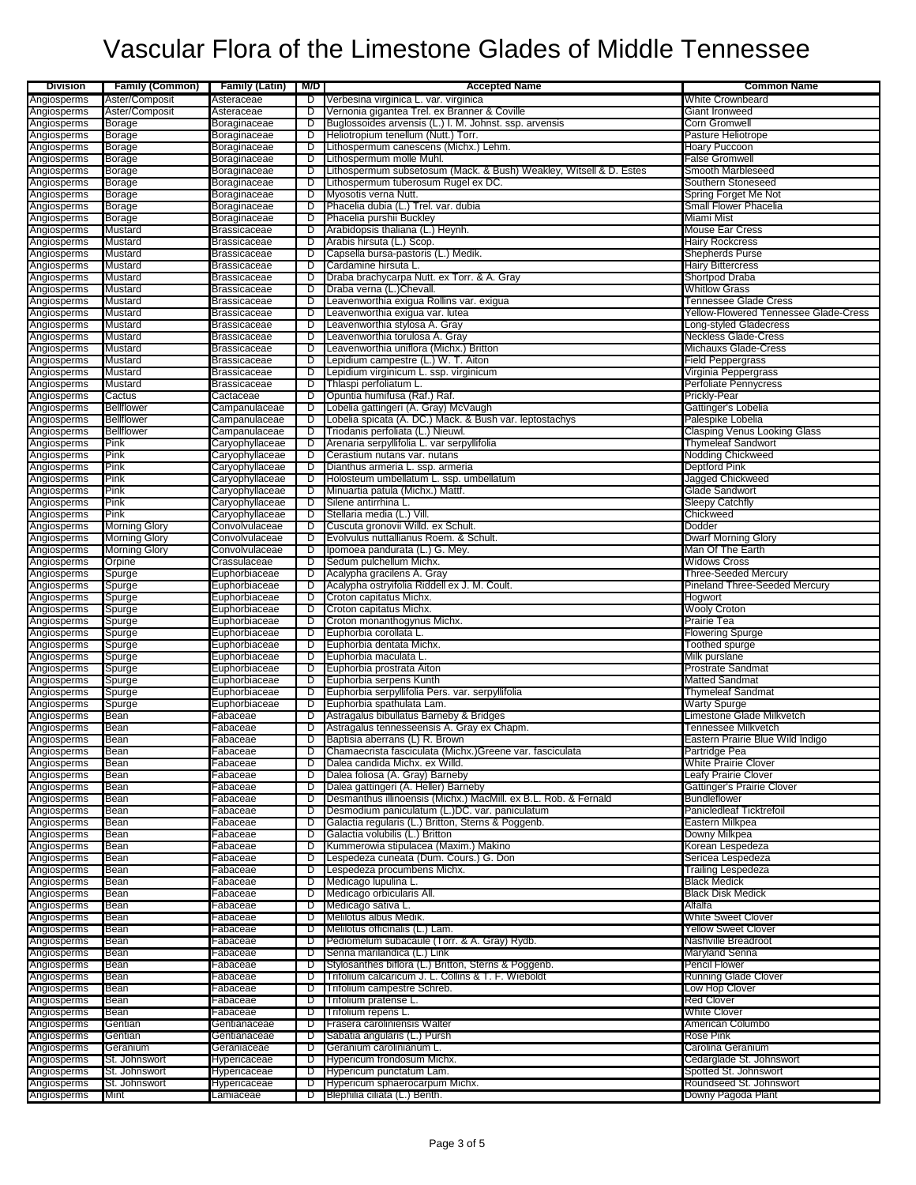| <b>Division</b>            | <b>Family (Common)</b> | <b>Family (Latin)</b>                      | M/D    | <b>Accepted Name</b>                                                                                        | <b>Common Name</b>                             |
|----------------------------|------------------------|--------------------------------------------|--------|-------------------------------------------------------------------------------------------------------------|------------------------------------------------|
| Angiosperms                | Aster/Composit         | Asteraceae                                 | D      | Verbesina virginica L. var. virginica                                                                       | <b>White Crownbeard</b>                        |
| Angiosperms                | Aster/Composit         | Asteraceae                                 | D      | Vernonia gigantea Trel. ex Branner & Coville                                                                | Giant Ironweed                                 |
| Angiosperms                | <b>Borage</b>          | Boraginaceae                               | D      | Buglossoides arvensis (L.) I. M. Johnst. ssp. arvensis                                                      | Corn Gromwell                                  |
| Angiosperms                | Borage                 | Boraginaceae                               | ס      | Heliotropium tenellum (Nutt.) Torr.                                                                         | Pasture Heliotrope                             |
| Angiosperms<br>Angiosperms | Borage<br>Borage       | Boraginaceae<br>Boraginaceae               | D<br>D | Lithospermum canescens (Michx.) Lehm.<br>Lithospermum molle Muhl.                                           | <b>Hoary Puccoon</b><br>False Gromwell         |
| Angiosperms                | <b>Borage</b>          | Boraginaceae                               | D      | Lithospermum subsetosum (Mack. & Bush) Weakley, Witsell & D. Estes                                          | Smooth Marbleseed                              |
| Angiosperms                | <b>Borage</b>          | Boraginaceae                               | D      | Lithospermum tuberosum Rugel ex DC.                                                                         | Southern Stoneseed                             |
| Angiosperms                | Borage                 | Boraginaceae                               | D      | Myosotis verna Nutt.                                                                                        | Spring Forget Me Not                           |
| Angiosperms                | Borage                 | Boraginaceae                               | ס      | Phacelia dubia (L.) Trel. var. dubia                                                                        | Small Flower Phacelia                          |
| Angiosperms                | <b>Borage</b>          | Boraginaceae                               | D      | Phacelia purshii Buckley                                                                                    | Miami Mist                                     |
| Angiosperms                | Mustard                | <b>Brassicaceae</b>                        | D      | Arabidopsis thaliana (L.) Heynh.                                                                            | <b>Mouse Ear Cress</b>                         |
| Angiosperms                | Mustard                | <b>Brassicaceae</b>                        | D      | Arabis hirsuta (L.) Scop.                                                                                   | <b>Hairy Rockcress</b>                         |
| Angiosperms<br>Angiosperms | Mustard<br>Mustard     | <b>Brassicaceae</b><br><b>Brassicaceae</b> | D<br>ס | Capsella bursa-pastoris (L.) Medik.<br>Cardamine hirsuta L.                                                 | <b>Shepherds Purse</b><br>Hairy Bittercress    |
| Angiosperms                | Mustard                | Brassicaceae                               | D      | Draba brachycarpa Nutt. ex Torr. & A. Gray                                                                  | Shortpod Draba                                 |
| Angiosperms                | Mustard                | <b>Brassicaceae</b>                        | D      | Draba verna (L.)Chevall.                                                                                    | <b>Whitlow Grass</b>                           |
| Angiosperms                | Mustard                | <b>Brassicaceae</b>                        | ס      | Leavenworthia exigua Rollins var. exigua                                                                    | Tennessee Glade Cress                          |
| Angiosperms                | Mustard                | <b>Brassicaceae</b>                        | D      | Leavenworthia exigua var. lutea                                                                             | <b>Yellow-Flowered Tennessee Glade-Cress</b>   |
| Angiosperms                | Mustard                | <b>Brassicaceae</b>                        | D      | Leavenworthia stylosa A. Gray                                                                               | Long-styled Gladecress                         |
| Angiosperms                | Mustard                | <b>Brassicaceae</b>                        | D      | Leavenworthia torulosa A. Gray                                                                              | <b>Neckless Glade-Cress</b>                    |
| Angiosperms                | Mustard                | <b>Brassicaceae</b>                        | D      | Leavenworthia uniflora (Michx.) Britton                                                                     | <b>Michauxs Glade-Cress</b>                    |
| Angiosperms                | Mustard                | Brassicaceae                               | D      | Lepidium campestre (L.) W. T. Aiton                                                                         | Field Peppergrass                              |
| Angiosperms<br>Angiosperms | Mustard<br>Mustard     | <b>Brassicaceae</b><br><b>Brassicaceae</b> | D<br>D | Lepidium virginicum L. ssp. virginicum<br>Thlaspi perfoliatum L.                                            | Virginia Peppergrass<br>Perfoliate Pennycress  |
| Angiosperms                | Cactus                 | Cactaceae                                  | ס      | Opuntia humifusa (Raf.) Raf.                                                                                | Prickly-Pear                                   |
| Angiosperms                | <b>Bellflower</b>      | Campanulaceae                              | D      | Lobelia gattingeri (A. Gray) McVaugh                                                                        | Gattinger's Lobelia                            |
| Angiosperms                | <b>Bellflower</b>      | Campanulaceae                              | D      | Lobelia spicata (A. DC.) Mack. & Bush var. leptostachys                                                     | Palespike Lobelia                              |
| Angiosperms                | Bellflower             | Campanulaceae                              | ъ      | Triodanis perfoliata (L.) Nieuwl.                                                                           | <b>Clasping Venus Looking Glass</b>            |
| Angiosperms                | Pink                   | Caryophyllaceae                            | D      | Arenaria serpyllifolia L. var serpyllifolia                                                                 | <b>Thymeleaf Sandwort</b>                      |
| Angiosperms                | Pink                   | Caryophyllaceae                            | D      | Cerastium nutans var. nutans                                                                                | Nodding Chickweed                              |
| Angiosperms                | Pink                   | Caryophyllaceae                            | D      | Dianthus armeria L. ssp. armeria                                                                            | Deptford Pink                                  |
| Angiosperms                | Pink                   | Caryophyllaceae                            | D      | Holosteum umbellatum L. ssp. umbellatum                                                                     | Jagged Chickweed                               |
| Angiosperms                | Pink                   | Caryophyllaceae                            | D      | Minuartia patula (Michx.) Mattf.                                                                            | Glade Sandwort                                 |
| Angiosperms                | Pink<br>Pink           | Caryophyllaceae                            | D      | Silene antirrhina L.<br>Stellaria media (L.) Vill.                                                          | <b>Sleepy Catchfly</b><br>Chickweed            |
| Angiosperms<br>Angiosperms | <b>Morning Glory</b>   | Caryophyllaceae<br>Convolvulaceae          | D<br>D | Cuscuta gronovii Willd. ex Schult.                                                                          | Dodder                                         |
| Angiosperms                | Morning Glory          | Convolvulaceae                             | D      | Evolvulus nuttallianus Roem. & Schult.                                                                      | <b>Dwarf Morning Glory</b>                     |
| Angiosperms                | <b>Morning Glory</b>   | Convolvulaceae                             | D      | Ipomoea pandurata (L.) G. Mey.                                                                              | Man Of The Earth                               |
| Angiosperms                | Orpine                 | Crassulaceae                               | D      | Sedum pulchellum Michx.                                                                                     | <b>Widows Cross</b>                            |
| Angiosperms                | Spurge                 | Euphorbiaceae                              | D      | Acalypha gracilens A. Gray                                                                                  | <b>Three-Seeded Mercury</b>                    |
| Angiosperms                | Spurge                 | Euphorbiaceae                              | D      | Acalypha ostryifolia Riddell ex J. M. Coult.                                                                | Pineland Three-Seeded Mercury                  |
| Angiosperms                | Spurge                 | Euphorbiaceae                              | D      | Croton capitatus Michx.                                                                                     | Hogwort                                        |
| Angiosperms                | Spurge                 | Euphorbiaceae                              | D      | Croton capitatus Michx.                                                                                     | <b>Wooly Croton</b>                            |
| Angiosperms<br>Angiosperms | Spurge<br>Spurge       | Euphorbiaceae<br>Euphorbiaceae             | D<br>D | Croton monanthogynus Michx.<br>Euphorbia corollata L.                                                       | Prairie Tea<br>Flowering Spurge                |
| Angiosperms                | Spurge                 | Euphorbiaceae                              | D      | Euphorbia dentata Michx.                                                                                    | Toothed spurge                                 |
| Angiosperms                | Spurge                 | Euphorbiaceae                              | D      | Euphorbia maculata L.                                                                                       | Milk purslane                                  |
| Angiosperms                | Spurge                 | Euphorbiaceae                              | D      | Euphorbia prostrata Aiton                                                                                   | <b>Prostrate Sandmat</b>                       |
| Angiosperms                | Spurge                 | Euphorbiaceae                              | D      | Euphorbia serpens Kunth                                                                                     | <b>Matted Sandmat</b>                          |
| Angiosperms                | Spurge                 | Euphorbiaceae                              | D      | Euphorbia serpyllifolia Pers. var. serpyllifolia                                                            | <b>Thymeleaf Sandmat</b>                       |
| Angiosperms                | Spurge                 | Euphorbiaceae                              | D      | Euphorbia spathulata Lam.                                                                                   | <b>Warty Spurge</b>                            |
| Angiosperms                | Bean                   | Fabaceae                                   | D      | Astragalus bibullatus Barneby & Bridges                                                                     | Limestone Glade Milkvetch                      |
| Angiosperms                | Bean                   | Fabaceae                                   | D      | Astragalus tennesseensis A. Gray ex Chapm.                                                                  | <b>Tennessee Milkvetch</b>                     |
| Angiosperms                | Bean                   | Fabaceae                                   | D      | Baptisia aberrans (L) R. Brown                                                                              | Eastern Prairie Blue Wild Indigo               |
| Angiosperms<br>Angiosperms | pean<br>Bean           | ғарасеае<br>Fabaceae                       | D      | Chamaecrista fasciculata (Michx.)Greene var. fasciculata<br>Dalea candida Michx. ex Willd.                  | Partridge Pea<br><b>White Prairie Clover</b>   |
| Angiosperms                | Bean                   | Fabaceae                                   | D      | Dalea foliosa (A. Gray) Barneby                                                                             | Leafy Prairie Clover                           |
| Angiosperms                | Bean                   | Fabaceae                                   | D      | Dalea gattingeri (A. Heller) Barneby                                                                        | Gattinger's Prairie Clover                     |
| Angiosperms                | Bean                   | Fabaceae                                   | D      | Desmanthus illinoensis (Michx.) MacMill. ex B.L. Rob. & Fernald                                             | <b>Bundleflower</b>                            |
| Angiosperms                | Bean                   | Fabaceae                                   | D      | Desmodium paniculatum (L.)DC. var. paniculatum                                                              | Panicledleaf Ticktrefoil                       |
| Angiosperms                | Bean                   | Fabaceae                                   | D      | Galactia regularis (L.) Britton, Sterns & Poggenb.                                                          | Eastern Milkpea                                |
| Angiosperms                | Bean                   | Fabaceae                                   | D      | Galactia volubilis (L.) Britton                                                                             | Downy Milkpea                                  |
| Angiosperms                | Bean                   | Fabaceae                                   | D<br>ס | Kummerowia stipulacea (Maxim.) Makino<br>Lespedeza cuneata (Dum. Cours.) G. Don                             | Korean Lespedeza                               |
| Angiosperms<br>Angiosperms | Bean<br>Bean           | Fabaceae<br>Fabaceae                       | D      | Lespedeza procumbens Michx.                                                                                 | Sericea Lespedeza<br><b>Trailing Lespedeza</b> |
| Angiosperms                | Bean                   | Fabaceae                                   | D      | Medicago lupulina L.                                                                                        | <b>Black Medick</b>                            |
| Angiosperms                | Bean                   | Fabaceae                                   | D      | Medicago orbicularis All.                                                                                   | <b>Black Disk Medick</b>                       |
| Angiosperms                | Bean                   | Fabaceae                                   | D      | Medicago sativa L.                                                                                          | Alfalfa                                        |
| Angiosperms                | Bean                   | Fabaceae                                   | D      | Melilotus albus Medik.                                                                                      | <b>White Sweet Clover</b>                      |
| Angiosperms                | Bean                   | Fabaceae                                   | D      | Melilotus officinalis (L.) Lam.                                                                             | <b>Yellow Sweet Clover</b>                     |
| Angiosperms                | Bean                   | Fabaceae                                   | D      | Pediomelum subacaule (Torr. & A. Gray) Rydb.                                                                | Nashville Breadroot                            |
| Angiosperms                | Bean                   | Fabaceae                                   | D      | Senna marilandica (L.) Link                                                                                 | Maryland Senna                                 |
| Angiosperms                | Bean                   | Fabaceae                                   | D      | Stylosanthes biflora (L.) Britton, Sterns & Poggenb.<br>Trifolium calcaricum J. L. Collins & T. F. Wieboldt | Pencil Flower                                  |
| Angiosperms<br>Angiosperms | Bean<br>Bean           | Fabaceae<br>Fabaceae                       | D<br>D | Trifolium campestre Schreb.                                                                                 | <b>Running Glade Clover</b><br>Low Hop Clover  |
| Angiosperms                | Bean                   | Fabaceae                                   | ס      | Trifolium pratense L.                                                                                       | <b>Red Clover</b>                              |
| Angiosperms                | Bean                   | Fabaceae                                   | D      | Trifolium repens L.                                                                                         | <b>White Clover</b>                            |
| Angiosperms                | Gentian                | Gentianaceae                               | D      | Frasera caroliniensis Walter                                                                                | American Columbo                               |
| Angiosperms                | Gentian                | Gentianaceae                               | D      | Sabatia angularis (L.) Pursh                                                                                | <b>Rose Pink</b>                               |
| Angiosperms                | Geranium               | Geraniaceae                                | D      | Geranium carolinianum L.                                                                                    | Carolina Geranium                              |
| Angiosperms                | St. Johnswort          | Hypericaceae                               | D      | Hypericum frondosum Michx.                                                                                  | Cedarglade St. Johnswort                       |
| Angiosperms                | St. Johnswort          | Hypericaceae                               | D      | Hypericum punctatum Lam.                                                                                    | Spotted St. Johnswort                          |
| Angiosperms                | St. Johnswort          | Hypericaceae                               | D      | Hypericum sphaerocarpum Michx.                                                                              | Roundseed St. Johnswort                        |
| Angiosperms                | Mint                   | Lamiaceae                                  | D      | Blephilia ciliata (L.) Benth.                                                                               | Downy Pagoda Plant                             |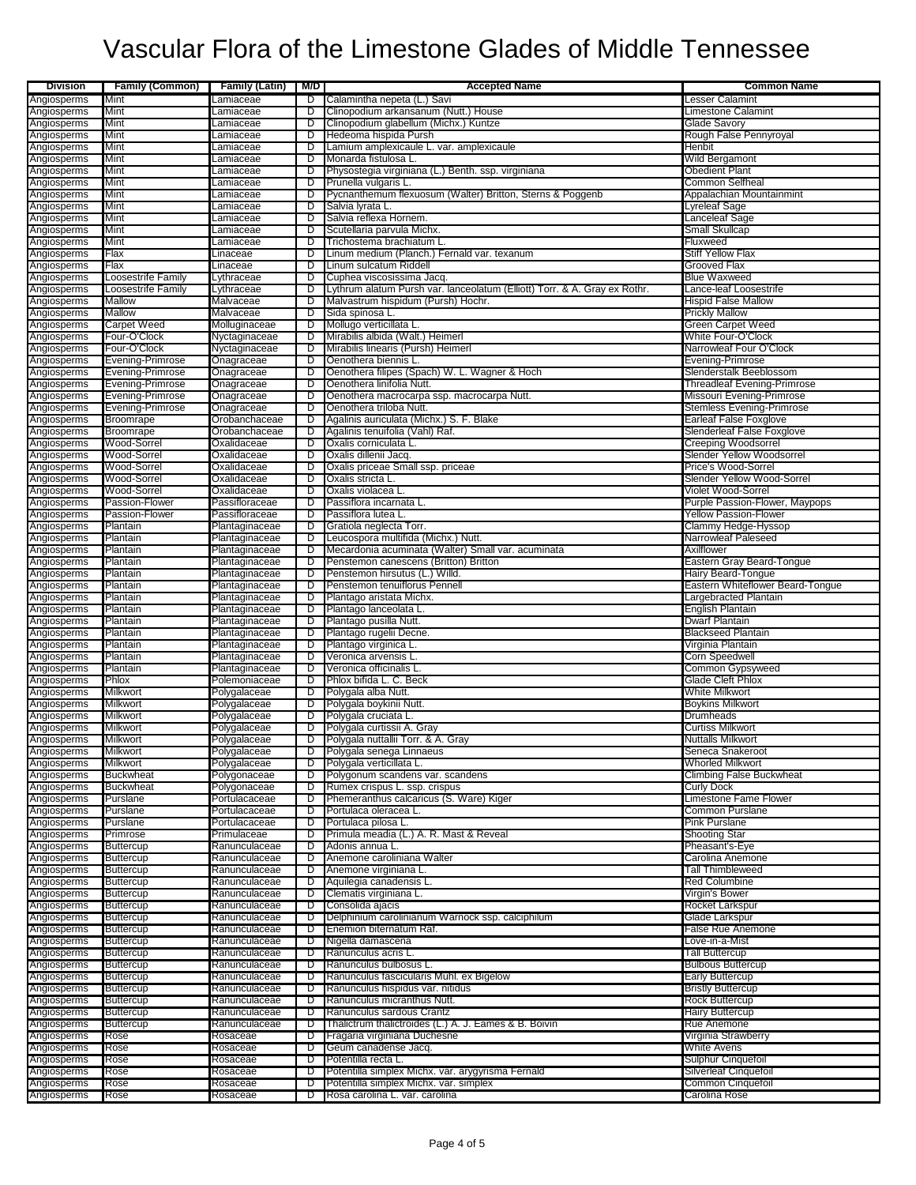| <b>Division</b>            | <b>Family (Common)</b>                   | <b>Family (Latin)</b> M/D        |        | <b>Accepted Name</b>                                                                                   | <b>Common Name</b>                                  |
|----------------------------|------------------------------------------|----------------------------------|--------|--------------------------------------------------------------------------------------------------------|-----------------------------------------------------|
| Angiosperms                | Mint                                     | Lamiaceae                        | D      | Calamintha nepeta (L.) Savi                                                                            | Lesser Calamint                                     |
| Angiosperms                | Mint                                     | Lamiaceae                        | D      | Clinopodium arkansanum (Nutt.) House                                                                   | Limestone Calamint                                  |
| Angiosperms                | Mint                                     | _amiaceae                        | D      | Clinopodium glabellum (Michx.) Kuntze                                                                  | Glade Savory                                        |
| Angiosperms                | Mint                                     | Lamiaceae                        | D      | Hedeoma hispida Pursh                                                                                  | Rough False Pennyroyal                              |
| Angiosperms<br>Angiosperms | Mint<br>Mint                             | Lamiaceae<br>Lamiaceae           | D<br>D | Lamium amplexicaule L. var. amplexicaule<br>Monarda fistulosa L.                                       | <b>Henbit</b><br>Wild Bergamont                     |
| Angiosperms                | Mint                                     | Lamiaceae                        | D      | Physostegia virginiana (L.) Benth. ssp. virginiana                                                     | <b>Obedient Plant</b>                               |
| Angiosperms                | Mint                                     | Lamiaceae                        | D      | Prunella vulgaris L.                                                                                   | Common Selfheal                                     |
| Angiosperms                | Mint                                     | Lamiaceae                        | D      | Pycnanthemum flexuosum (Walter) Britton, Sterns & Poggenb                                              | Appalachian Mountainmint                            |
| Angiosperms                | Mint                                     | Lamiaceae                        | D      | Salvia Iyrata L.                                                                                       | Lyreleaf Sage                                       |
| Angiosperms                | Mint                                     | Lamiaceae                        | D      | Salvia reflexa Hornem.                                                                                 | Lanceleaf Sage                                      |
| Angiosperms                | Mint                                     | _amiaceae                        | D      | Scutellaria parvula Michx.                                                                             | <b>Small Skullcap</b>                               |
| Angiosperms                | Mint                                     | Lamiaceae                        | D      | Trichostema brachiatum L.                                                                              | Fluxweed                                            |
| Angiosperms                | Flax                                     | Linaceae                         | D      | Linum medium (Planch.) Fernald var. texanum                                                            | Stiff Yellow Flax                                   |
| Angiosperms                | Flax                                     | Linaceae                         | D      | Linum sulcatum Riddell                                                                                 | Grooved Flax                                        |
| Angiosperms<br>Angiosperms | Loosestrife Family<br>Loosestrife Family | Lythraceae<br>Lythraceae         | D<br>D | Cuphea viscosissima Jacq.<br>Lythrum alatum Pursh var. lanceolatum (Elliott) Torr. & A. Gray ex Rothr. | <b>Blue Waxweed</b><br>Lance-leaf Loosestrife       |
| Angiosperms                | Mallow                                   | Malvaceae                        | D      | Malvastrum hispidum (Pursh) Hochr.                                                                     | <b>Hispid False Mallow</b>                          |
| Angiosperms                | Mallow                                   | Malvaceae                        | D      | Sida spinosa L                                                                                         | <b>Prickly Mallow</b>                               |
| Angiosperms                | <b>Carpet Weed</b>                       | Molluginaceae                    | D      | Mollugo verticillata L                                                                                 | Green Carpet Weed                                   |
| Angiosperms                | Four-O'Clock                             | Nyctaginaceae                    | D      | Mirabilis albida (Walt.) Heimerl                                                                       | White Four-O'Clock                                  |
| Angiosperms                | Four-O'Clock                             | Nyctaginaceae                    | D      | Mirabilis linearis (Pursh) Heimerl                                                                     | Narrowleaf Four O'Clock                             |
| Angiosperms                | Evening-Primrose                         | Onagraceae                       | D      | Oenothera biennis L.                                                                                   | Evening-Primrose                                    |
| Angiosperms                | Evening-Primrose                         | Onagraceae                       | D      | Oenothera filipes (Spach) W. L. Wagner & Hoch                                                          | Slenderstalk Beeblossom                             |
| Angiosperms                | Evening-Primrose                         | Onagraceae                       | D      | Oenothera linifolia Nutt.                                                                              | Threadleaf Evening-Primrose                         |
| Angiosperms                | Evening-Primrose                         | Onagraceae                       | D      | Oenothera macrocarpa ssp. macrocarpa Nutt.                                                             | Missouri Evening-Primrose                           |
| Angiosperms<br>Angiosperms | Evening-Primrose<br>Broomrape            | Onagraceae<br>Orobanchaceae      | D<br>D | Oenothera triloba Nutt.<br>Agalinis auriculata (Michx.) S. F. Blake                                    | Stemless Evening-Primrose<br>Earleaf False Foxglove |
| Angiosperms                | Broomrape                                | Orobanchaceae                    | D      | Agalinis tenuifolia (Vahl) Raf.                                                                        | Slenderleaf False Foxglove                          |
| Angiosperms                | Wood-Sorrel                              | Oxalidaceae                      | D      | Oxalis corniculata L.                                                                                  | <b>Creeping Woodsorrel</b>                          |
| Angiosperms                | Wood-Sorrel                              | Oxalidaceae                      | D      | Oxalis dillenii Jacq.                                                                                  | Slender Yellow Woodsorrel                           |
| Angiosperms                | Wood-Sorrel                              | Oxalidaceae                      | D      | Oxalis priceae Small ssp. priceae                                                                      | Price's Wood-Sorrel                                 |
| Angiosperms                | Wood-Sorrel                              | Oxalidaceae                      | D      | Oxalis stricta L                                                                                       | Slender Yellow Wood-Sorrel                          |
| Angiosperms                | Wood-Sorrel                              | Oxalidaceae                      | D      | Oxalis violacea L                                                                                      | Violet Wood-Sorrel                                  |
| Angiosperms                | Passion-Flower                           | Passifloraceae                   | D      | Passiflora incarnata L.                                                                                | Purple Passion-Flower, Maypops                      |
| Angiosperms                | Passion-Flower                           | Passifloraceae                   | D      | Passiflora lutea L                                                                                     | <b>Yellow Passion-Flower</b>                        |
| Angiosperms                | Plantain                                 | Plantaginaceae                   | D      | Gratiola neglecta Torr.                                                                                | Clammy Hedge-Hyssop                                 |
| Angiosperms<br>Angiosperms | Plantain<br>Plantain                     | Plantaginaceae<br>Plantaginaceae | D<br>D | Leucospora multifida (Michx.) Nutt.<br>Mecardonia acuminata (Walter) Small var. acuminata              | Narrowleaf Paleseed<br>Axilflower                   |
| Angiosperms                | Plantain                                 | Plantaginaceae                   | D      | Penstemon canescens (Britton) Britton                                                                  | Eastern Gray Beard-Tongue                           |
| Angiosperms                | Plantain                                 | Plantaginaceae                   | D      | Penstemon hirsutus (L.) Willd.                                                                         | <b>Hairy Beard-Tongue</b>                           |
| Angiosperms                | Plantain                                 | Plantaginaceae                   | D      | Penstemon tenuiflorus Pennell                                                                          | Eastern Whiteflower Beard-Tongue                    |
| Angiosperms                | Plantain                                 | Plantaginaceae                   | D      | Plantago aristata Michx.                                                                               | Largebracted Plantain                               |
| Angiosperms                | Plantain                                 | Plantaginaceae                   | D      | Plantago lanceolata L.                                                                                 | <b>English Plantain</b>                             |
| Angiosperms                | Plantain                                 | Plantaginaceae                   | D      | Plantago pusilla Nutt.                                                                                 | <b>Dwarf Plantain</b>                               |
| Angiosperms                | Plantain                                 | Plantaginaceae                   | D      | Plantago rugelii Decne.                                                                                | <b>Blackseed Plantain</b>                           |
| Angiosperms                | Plantain                                 | Plantaginaceae                   | D      | Plantago virginica L                                                                                   | Virginia Plantain                                   |
| Angiosperms<br>Angiosperms | Plantain<br>Plantain                     | Plantaginaceae<br>Plantaginaceae | D<br>D | Veronica arvensis L<br>Veronica officinalis L.                                                         | Corn Speedwell<br>Common Gypsyweed                  |
| Angiosperms                | Phlox                                    | Polemoniaceae                    | D      | Phlox bifida L. C. Beck                                                                                | Glade Cleft Phlox                                   |
| Angiosperms                | Milkwort                                 | Polygalaceae                     | D      | Polygala alba Nutt.                                                                                    | White Milkwort                                      |
| Angiosperms                | Milkwort                                 | Polygalaceae                     | D      | Polygala boykinii Nutt.                                                                                | <b>Boykins Milkwort</b>                             |
| Angiosperms                | Milkwort                                 | Polygalaceae                     | D      | Polygala cruciata L.                                                                                   | Drumheads                                           |
| Angiosperms                | Milkwort                                 | Polygalaceae                     | D      | Polygala curtissii A. Gray                                                                             | Curtiss Milkwort                                    |
| Angiosperms                | Milkwort                                 | Polygalaceae                     | D      | Polygala nuttallii Torr. & A. Gray                                                                     | <b>Nuttalls Milkwort</b>                            |
| Angiosperms                | <b>MIIKWORT</b>                          | Polygalaceae                     |        | Polygala senega Linnaeus                                                                               | Seneca Snakeroot                                    |
| Angiosperms                | <b>Milkwort</b>                          | Polygalaceae                     | D      | Polygala verticillata L.                                                                               | <b>Whorled Milkwort</b>                             |
| Angiosperms                | Buckwheat                                | Polygonaceae                     | D      | Polygonum scandens var. scandens                                                                       | Climbing False Buckwheat                            |
| Angiosperms<br>Angiosperms | <b>Buckwheat</b><br>Purslane             | Polygonaceae<br>Portulacaceae    | D<br>D | Rumex crispus L. ssp. crispus<br>Phemeranthus calcaricus (S. Ware) Kiger                               | <b>Curly Dock</b><br>Limestone Fame Flower          |
| Angiosperms                | Purslane                                 | Portulacaceae                    | D      | Portulaca oleracea L                                                                                   | Common Purslane                                     |
| Angiosperms                | Purslane                                 | Portulacaceae                    | D      | Portulaca pilosa L.                                                                                    | Pink Purslane                                       |
| Angiosperms                | Primrose                                 | Primulaceae                      | D      | Primula meadia (L.) A. R. Mast & Reveal                                                                | Shooting Star                                       |
| Angiosperms                | Buttercup                                | Ranunculaceae                    | D      | Adonis annua L.                                                                                        | Pheasant's-Eye                                      |
| Angiosperms                | Buttercup                                | Ranunculaceae                    | D      | Anemone caroliniana Walter                                                                             | Carolina Anemone                                    |
| Angiosperms                | Buttercup                                | Ranunculaceae                    | D      | Anemone virginiana L.                                                                                  | <b>Tall Thimbleweed</b>                             |
| Angiosperms                | <b>Buttercup</b>                         | Ranunculaceae                    | D      | Aquilegia canadensis L.                                                                                | <b>Red Columbine</b>                                |
| Angiosperms                | <b>Buttercup</b>                         | Ranunculaceae                    | D      | Clematis virginiana L.                                                                                 | Virgin's Bower                                      |
| Angiosperms                | <b>Buttercup</b>                         | Ranunculaceae                    | D      | Consolida ajacis<br>Delphinium carolinianum Warnock ssp. calciphilum                                   | <b>Rocket Larkspur</b>                              |
| Angiosperms<br>Angiosperms | <b>Buttercup</b><br><b>Buttercup</b>     | Ranunculaceae<br>Ranunculaceae   | D<br>D | Enemion biternatum Raf.                                                                                | Glade Larkspur<br><b>False Rue Anemone</b>          |
| Angiosperms                | Buttercup                                | Ranunculaceae                    | D      | Nigella damascena                                                                                      | Love-in-a-Mist                                      |
| Angiosperms                | <b>Buttercup</b>                         | Ranunculaceae                    | D      | Ranunculus acris L.                                                                                    | <b>Tall Buttercup</b>                               |
| Angiosperms                | <b>Buttercup</b>                         | Ranunculaceae                    | D      | Ranunculus bulbosus L.                                                                                 | <b>Bulbous Buttercup</b>                            |
| Angiosperms                | <b>Buttercup</b>                         | Ranunculaceae                    | D      | Ranunculus fascicularis Muhl. ex Bigelow                                                               | <b>Early Buttercup</b>                              |
| Angiosperms                | <b>Buttercup</b>                         | Ranunculaceae                    | D      | Ranunculus hispidus var. nitidus                                                                       | <b>Bristly Buttercup</b>                            |
| Angiosperms                | Buttercup                                | Ranunculaceae                    | D      | Ranunculus micranthus Nutt.                                                                            | <b>Rock Buttercup</b>                               |
| Angiosperms                | <b>Buttercup</b>                         | Ranunculaceae                    | D      | Ranunculus sardous Crantz                                                                              | <b>Hairy Buttercup</b>                              |
| Angiosperms                | <b>Buttercup</b>                         | Ranunculaceae                    | D      | Thalictrum thalictroides (L.) A. J. Eames & B. Boivin                                                  | Rue Anemone                                         |
| Angiosperms                | Rose                                     | Rosaceae                         | D      | Fragaria virginiana Duchesne                                                                           | Virginia Strawberry                                 |
| Angiosperms<br>Angiosperms | Rose<br>Rose                             | Rosaceae<br>Rosaceae             | D<br>D | Geum canadense Jacq.<br>Potentilla recta L.                                                            | White Avens<br>Sulphur Cinquefoil                   |
| Angiosperms                | Rose                                     | Rosaceae                         | D      | Potentilla simplex Michx. var. arygyrisma Fernald                                                      | <b>Silverleaf Cinquefoil</b>                        |
| Angiosperms                | Rose                                     | Rosaceae                         | D      | Potentilla simplex Michx. var. simplex                                                                 | Common Cinquefoil                                   |
| Angiosperms                | Rose                                     | Rosaceae                         | D      | Rosa carolina L. var. carolina                                                                         | Carolina Rose                                       |
|                            |                                          |                                  |        |                                                                                                        |                                                     |